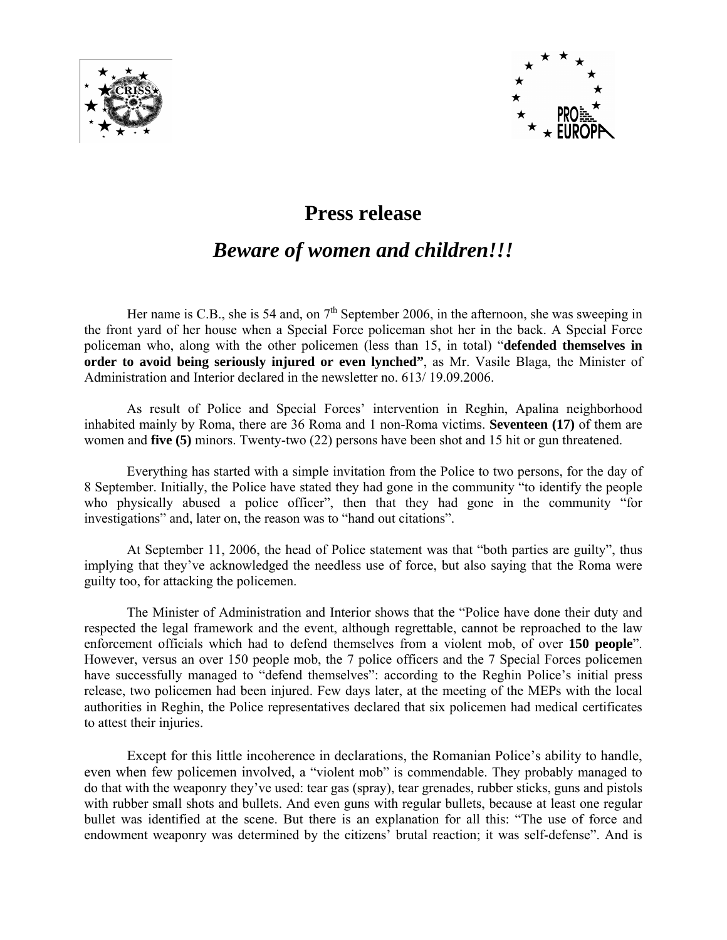



## **Press release**

## *Beware of women and children!!!*

Her name is C.B., she is 54 and, on  $7<sup>th</sup>$  September 2006, in the afternoon, she was sweeping in the front yard of her house when a Special Force policeman shot her in the back. A Special Force policeman who, along with the other policemen (less than 15, in total) "**defended themselves in order to avoid being seriously injured or even lynched"**, as Mr. Vasile Blaga, the Minister of Administration and Interior declared in the newsletter no. 613/ 19.09.2006.

 As result of Police and Special Forces' intervention in Reghin, Apalina neighborhood inhabited mainly by Roma, there are 36 Roma and 1 non-Roma victims. **Seventeen (17)** of them are women and **five (5)** minors. Twenty-two (22) persons have been shot and 15 hit or gun threatened.

 Everything has started with a simple invitation from the Police to two persons, for the day of 8 September. Initially, the Police have stated they had gone in the community "to identify the people who physically abused a police officer", then that they had gone in the community "for investigations" and, later on, the reason was to "hand out citations".

At September 11, 2006, the head of Police statement was that "both parties are guilty", thus implying that they've acknowledged the needless use of force, but also saying that the Roma were guilty too, for attacking the policemen.

The Minister of Administration and Interior shows that the "Police have done their duty and respected the legal framework and the event, although regrettable, cannot be reproached to the law enforcement officials which had to defend themselves from a violent mob, of over **150 people**". However, versus an over 150 people mob, the 7 police officers and the 7 Special Forces policemen have successfully managed to "defend themselves": according to the Reghin Police's initial press release, two policemen had been injured. Few days later, at the meeting of the MEPs with the local authorities in Reghin, the Police representatives declared that six policemen had medical certificates to attest their injuries.

Except for this little incoherence in declarations, the Romanian Police's ability to handle, even when few policemen involved, a "violent mob" is commendable. They probably managed to do that with the weaponry they've used: tear gas (spray), tear grenades, rubber sticks, guns and pistols with rubber small shots and bullets. And even guns with regular bullets, because at least one regular bullet was identified at the scene. But there is an explanation for all this: "The use of force and endowment weaponry was determined by the citizens' brutal reaction; it was self-defense". And is